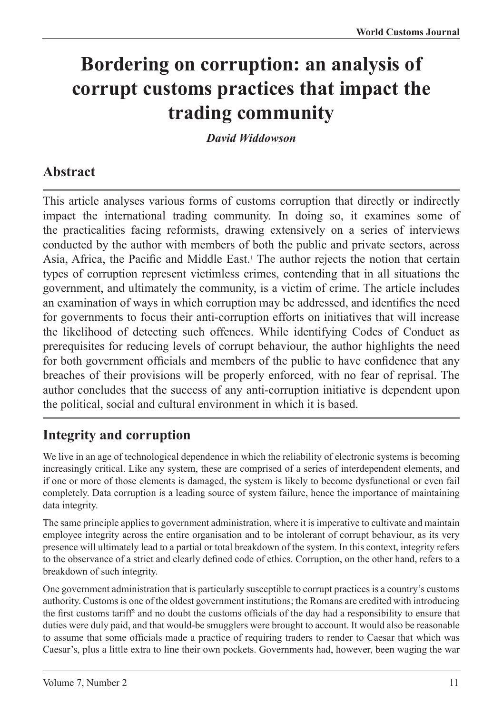# **Bordering on corruption: an analysis of corrupt customs practices that impact the trading community**

*David Widdowson*

# **Abstract**

This article analyses various forms of customs corruption that directly or indirectly impact the international trading community. In doing so, it examines some of the practicalities facing reformists, drawing extensively on a series of interviews conducted by the author with members of both the public and private sectors, across Asia, Africa, the Pacific and Middle East.1 The author rejects the notion that certain types of corruption represent victimless crimes, contending that in all situations the government, and ultimately the community, is a victim of crime. The article includes an examination of ways in which corruption may be addressed, and identifies the need for governments to focus their anti-corruption efforts on initiatives that will increase the likelihood of detecting such offences. While identifying Codes of Conduct as prerequisites for reducing levels of corrupt behaviour, the author highlights the need for both government officials and members of the public to have confidence that any breaches of their provisions will be properly enforced, with no fear of reprisal. The author concludes that the success of any anti-corruption initiative is dependent upon the political, social and cultural environment in which it is based.

# **Integrity and corruption**

We live in an age of technological dependence in which the reliability of electronic systems is becoming increasingly critical. Like any system, these are comprised of a series of interdependent elements, and if one or more of those elements is damaged, the system is likely to become dysfunctional or even fail completely. Data corruption is a leading source of system failure, hence the importance of maintaining data integrity.

The same principle applies to government administration, where it is imperative to cultivate and maintain employee integrity across the entire organisation and to be intolerant of corrupt behaviour, as its very presence will ultimately lead to a partial or total breakdown of the system. In this context, integrity refers to the observance of a strict and clearly defined code of ethics. Corruption, on the other hand, refers to a breakdown of such integrity.

One government administration that is particularly susceptible to corrupt practices is a country's customs authority. Customs is one of the oldest government institutions; the Romans are credited with introducing the first customs tariff<sup>2</sup> and no doubt the customs officials of the day had a responsibility to ensure that duties were duly paid, and that would-be smugglers were brought to account. It would also be reasonable to assume that some officials made a practice of requiring traders to render to Caesar that which was Caesar's, plus a little extra to line their own pockets. Governments had, however, been waging the war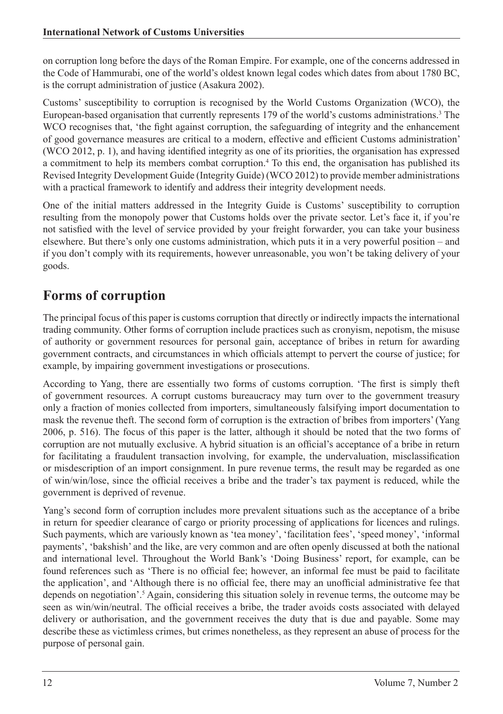on corruption long before the days of the Roman Empire. For example, one of the concerns addressed in the Code of Hammurabi, one of the world's oldest known legal codes which dates from about 1780 BC, is the corrupt administration of justice (Asakura 2002).

Customs' susceptibility to corruption is recognised by the World Customs Organization (WCO), the European-based organisation that currently represents 179 of the world's customs administrations.3 The WCO recognises that, 'the fight against corruption, the safeguarding of integrity and the enhancement of good governance measures are critical to a modern, effective and efficient Customs administration' (WCO 2012, p. 1), and having identified integrity as one of its priorities, the organisation has expressed a commitment to help its members combat corruption.4 To this end, the organisation has published its Revised Integrity Development Guide (Integrity Guide) (WCO 2012) to provide member administrations with a practical framework to identify and address their integrity development needs.

One of the initial matters addressed in the Integrity Guide is Customs' susceptibility to corruption resulting from the monopoly power that Customs holds over the private sector. Let's face it, if you're not satisfied with the level of service provided by your freight forwarder, you can take your business elsewhere. But there's only one customs administration, which puts it in a very powerful position – and if you don't comply with its requirements, however unreasonable, you won't be taking delivery of your goods.

# **Forms of corruption**

The principal focus of this paper is customs corruption that directly or indirectly impacts the international trading community. Other forms of corruption include practices such as cronyism, nepotism, the misuse of authority or government resources for personal gain, acceptance of bribes in return for awarding government contracts, and circumstances in which officials attempt to pervert the course of justice; for example, by impairing government investigations or prosecutions.

According to Yang, there are essentially two forms of customs corruption. 'The first is simply theft of government resources. A corrupt customs bureaucracy may turn over to the government treasury only a fraction of monies collected from importers, simultaneously falsifying import documentation to mask the revenue theft. The second form of corruption is the extraction of bribes from importers' (Yang 2006, p. 516). The focus of this paper is the latter, although it should be noted that the two forms of corruption are not mutually exclusive. A hybrid situation is an official's acceptance of a bribe in return for facilitating a fraudulent transaction involving, for example, the undervaluation, misclassification or misdescription of an import consignment. In pure revenue terms, the result may be regarded as one of win/win/lose, since the official receives a bribe and the trader's tax payment is reduced, while the government is deprived of revenue.

Yang's second form of corruption includes more prevalent situations such as the acceptance of a bribe in return for speedier clearance of cargo or priority processing of applications for licences and rulings. Such payments, which are variously known as 'tea money', 'facilitation fees', 'speed money', 'informal payments', 'bakshish' and the like, are very common and are often openly discussed at both the national and international level. Throughout the World Bank's 'Doing Business' report, for example, can be found references such as 'There is no official fee; however, an informal fee must be paid to facilitate the application', and 'Although there is no official fee, there may an unofficial administrative fee that depends on negotiation'.<sup>5</sup> Again, considering this situation solely in revenue terms, the outcome may be seen as win/win/neutral. The official receives a bribe, the trader avoids costs associated with delayed delivery or authorisation, and the government receives the duty that is due and payable. Some may describe these as victimless crimes, but crimes nonetheless, as they represent an abuse of process for the purpose of personal gain.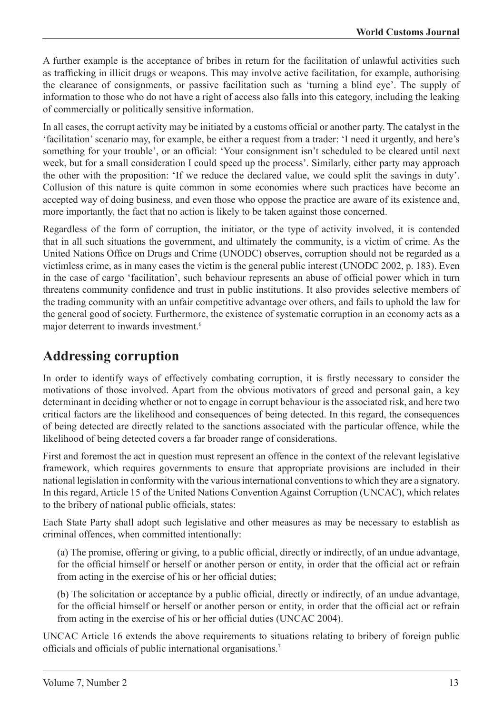A further example is the acceptance of bribes in return for the facilitation of unlawful activities such as trafficking in illicit drugs or weapons. This may involve active facilitation, for example, authorising the clearance of consignments, or passive facilitation such as 'turning a blind eye'. The supply of information to those who do not have a right of access also falls into this category, including the leaking of commercially or politically sensitive information.

In all cases, the corrupt activity may be initiated by a customs official or another party. The catalyst in the 'facilitation' scenario may, for example, be either a request from a trader: 'I need it urgently, and here's something for your trouble', or an official: 'Your consignment isn't scheduled to be cleared until next week, but for a small consideration I could speed up the process'. Similarly, either party may approach the other with the proposition: 'If we reduce the declared value, we could split the savings in duty'. Collusion of this nature is quite common in some economies where such practices have become an accepted way of doing business, and even those who oppose the practice are aware of its existence and, more importantly, the fact that no action is likely to be taken against those concerned.

Regardless of the form of corruption, the initiator, or the type of activity involved, it is contended that in all such situations the government, and ultimately the community, is a victim of crime. As the United Nations Office on Drugs and Crime (UNODC) observes, corruption should not be regarded as a victimless crime, as in many cases the victim is the general public interest (UNODC 2002, p. 183). Even in the case of cargo 'facilitation', such behaviour represents an abuse of official power which in turn threatens community confidence and trust in public institutions. It also provides selective members of the trading community with an unfair competitive advantage over others, and fails to uphold the law for the general good of society. Furthermore, the existence of systematic corruption in an economy acts as a major deterrent to inwards investment.6

# **Addressing corruption**

In order to identify ways of effectively combating corruption, it is firstly necessary to consider the motivations of those involved. Apart from the obvious motivators of greed and personal gain, a key determinant in deciding whether or not to engage in corrupt behaviour is the associated risk, and here two critical factors are the likelihood and consequences of being detected. In this regard, the consequences of being detected are directly related to the sanctions associated with the particular offence, while the likelihood of being detected covers a far broader range of considerations.

First and foremost the act in question must represent an offence in the context of the relevant legislative framework, which requires governments to ensure that appropriate provisions are included in their national legislation in conformity with the various international conventions to which they are a signatory. In this regard, Article 15 of the United Nations Convention Against Corruption (UNCAC), which relates to the bribery of national public officials, states:

Each State Party shall adopt such legislative and other measures as may be necessary to establish as criminal offences, when committed intentionally:

(a) The promise, offering or giving, to a public official, directly or indirectly, of an undue advantage, for the official himself or herself or another person or entity, in order that the official act or refrain from acting in the exercise of his or her official duties;

(b) The solicitation or acceptance by a public official, directly or indirectly, of an undue advantage, for the official himself or herself or another person or entity, in order that the official act or refrain from acting in the exercise of his or her official duties (UNCAC 2004).

UNCAC Article 16 extends the above requirements to situations relating to bribery of foreign public officials and officials of public international organisations.7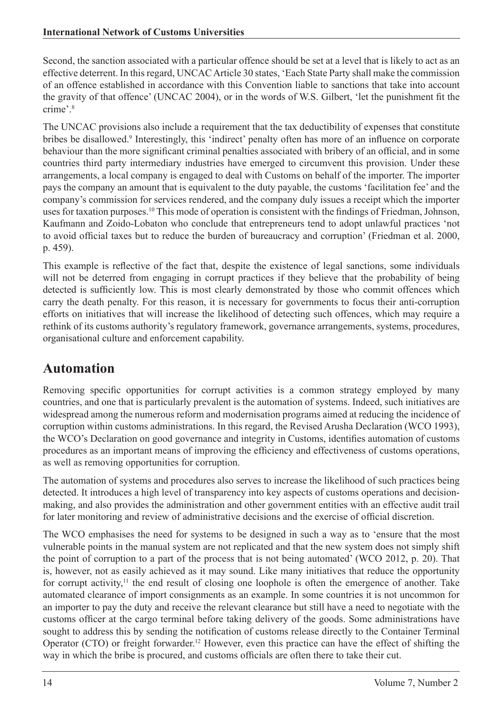Second, the sanction associated with a particular offence should be set at a level that is likely to act as an effective deterrent. In this regard, UNCAC Article 30 states, 'Each State Party shall make the commission of an offence established in accordance with this Convention liable to sanctions that take into account the gravity of that offence' (UNCAC 2004), or in the words of W.S. Gilbert, 'let the punishment fit the crime'.<sup>8</sup>

The UNCAC provisions also include a requirement that the tax deductibility of expenses that constitute bribes be disallowed.<sup>9</sup> Interestingly, this 'indirect' penalty often has more of an influence on corporate behaviour than the more significant criminal penalties associated with bribery of an official, and in some countries third party intermediary industries have emerged to circumvent this provision. Under these arrangements, a local company is engaged to deal with Customs on behalf of the importer. The importer pays the company an amount that is equivalent to the duty payable, the customs 'facilitation fee' and the company's commission for services rendered, and the company duly issues a receipt which the importer uses for taxation purposes.<sup>10</sup> This mode of operation is consistent with the findings of Friedman, Johnson, Kaufmann and Zoido-Lobaton who conclude that entrepreneurs tend to adopt unlawful practices 'not to avoid official taxes but to reduce the burden of bureaucracy and corruption' (Friedman et al. 2000, p. 459).

This example is reflective of the fact that, despite the existence of legal sanctions, some individuals will not be deterred from engaging in corrupt practices if they believe that the probability of being detected is sufficiently low. This is most clearly demonstrated by those who commit offences which carry the death penalty. For this reason, it is necessary for governments to focus their anti-corruption efforts on initiatives that will increase the likelihood of detecting such offences, which may require a rethink of its customs authority's regulatory framework, governance arrangements, systems, procedures, organisational culture and enforcement capability.

#### **Automation**

Removing specific opportunities for corrupt activities is a common strategy employed by many countries, and one that is particularly prevalent is the automation of systems. Indeed, such initiatives are widespread among the numerous reform and modernisation programs aimed at reducing the incidence of corruption within customs administrations. In this regard, the Revised Arusha Declaration (WCO 1993), the WCO's Declaration on good governance and integrity in Customs, identifies automation of customs procedures as an important means of improving the efficiency and effectiveness of customs operations, as well as removing opportunities for corruption.

The automation of systems and procedures also serves to increase the likelihood of such practices being detected. It introduces a high level of transparency into key aspects of customs operations and decisionmaking, and also provides the administration and other government entities with an effective audit trail for later monitoring and review of administrative decisions and the exercise of official discretion.

The WCO emphasises the need for systems to be designed in such a way as to 'ensure that the most vulnerable points in the manual system are not replicated and that the new system does not simply shift the point of corruption to a part of the process that is not being automated' (WCO 2012, p. 20). That is, however, not as easily achieved as it may sound. Like many initiatives that reduce the opportunity for corrupt activity, $11$  the end result of closing one loophole is often the emergence of another. Take automated clearance of import consignments as an example. In some countries it is not uncommon for an importer to pay the duty and receive the relevant clearance but still have a need to negotiate with the customs officer at the cargo terminal before taking delivery of the goods. Some administrations have sought to address this by sending the notification of customs release directly to the Container Terminal Operator (CTO) or freight forwarder.12 However, even this practice can have the effect of shifting the way in which the bribe is procured, and customs officials are often there to take their cut.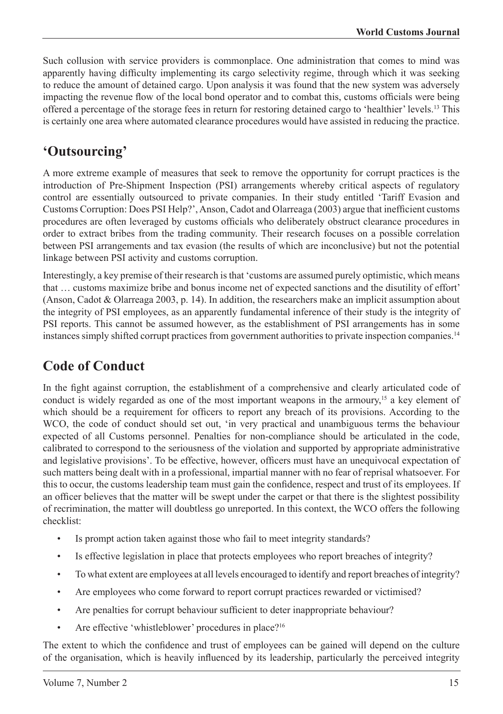Such collusion with service providers is commonplace. One administration that comes to mind was apparently having difficulty implementing its cargo selectivity regime, through which it was seeking to reduce the amount of detained cargo. Upon analysis it was found that the new system was adversely impacting the revenue flow of the local bond operator and to combat this, customs officials were being offered a percentage of the storage fees in return for restoring detained cargo to 'healthier' levels.13 This is certainly one area where automated clearance procedures would have assisted in reducing the practice.

#### **'Outsourcing'**

A more extreme example of measures that seek to remove the opportunity for corrupt practices is the introduction of Pre-Shipment Inspection (PSI) arrangements whereby critical aspects of regulatory control are essentially outsourced to private companies. In their study entitled 'Tariff Evasion and Customs Corruption: Does PSI Help?', Anson, Cadot and Olarreaga (2003) argue that inefficient customs procedures are often leveraged by customs officials who deliberately obstruct clearance procedures in order to extract bribes from the trading community. Their research focuses on a possible correlation between PSI arrangements and tax evasion (the results of which are inconclusive) but not the potential linkage between PSI activity and customs corruption.

Interestingly, a key premise of their research is that 'customs are assumed purely optimistic, which means that … customs maximize bribe and bonus income net of expected sanctions and the disutility of effort' (Anson, Cadot & Olarreaga 2003, p. 14). In addition, the researchers make an implicit assumption about the integrity of PSI employees, as an apparently fundamental inference of their study is the integrity of PSI reports. This cannot be assumed however, as the establishment of PSI arrangements has in some instances simply shifted corrupt practices from government authorities to private inspection companies.<sup>14</sup>

# **Code of Conduct**

In the fight against corruption, the establishment of a comprehensive and clearly articulated code of conduct is widely regarded as one of the most important weapons in the armoury,<sup>15</sup> a key element of which should be a requirement for officers to report any breach of its provisions. According to the WCO, the code of conduct should set out, 'in very practical and unambiguous terms the behaviour expected of all Customs personnel. Penalties for non-compliance should be articulated in the code, calibrated to correspond to the seriousness of the violation and supported by appropriate administrative and legislative provisions'. To be effective, however, officers must have an unequivocal expectation of such matters being dealt with in a professional, impartial manner with no fear of reprisal whatsoever. For this to occur, the customs leadership team must gain the confidence, respect and trust of its employees. If an officer believes that the matter will be swept under the carpet or that there is the slightest possibility of recrimination, the matter will doubtless go unreported. In this context, the WCO offers the following checklist:

- Is prompt action taken against those who fail to meet integrity standards?
- Is effective legislation in place that protects employees who report breaches of integrity?
- To what extent are employees at all levels encouraged to identify and report breaches of integrity?
- Are employees who come forward to report corrupt practices rewarded or victimised?
- Are penalties for corrupt behaviour sufficient to deter inappropriate behaviour?
- Are effective 'whistleblower' procedures in place?<sup>16</sup>

The extent to which the confidence and trust of employees can be gained will depend on the culture of the organisation, which is heavily influenced by its leadership, particularly the perceived integrity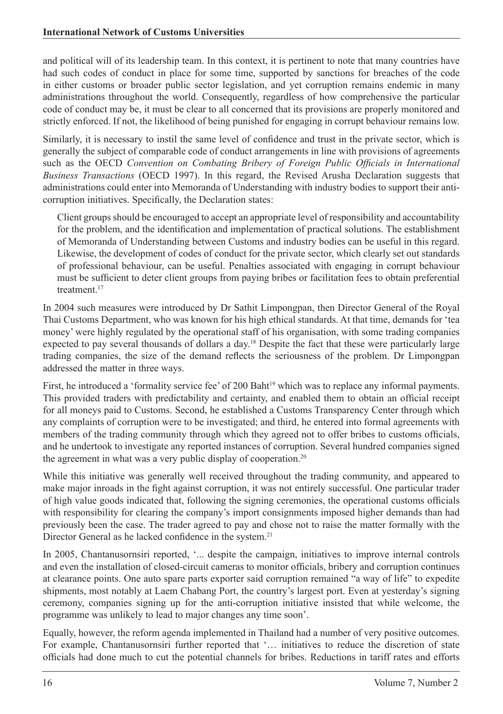and political will of its leadership team. In this context, it is pertinent to note that many countries have had such codes of conduct in place for some time, supported by sanctions for breaches of the code in either customs or broader public sector legislation, and yet corruption remains endemic in many administrations throughout the world. Consequently, regardless of how comprehensive the particular code of conduct may be, it must be clear to all concerned that its provisions are properly monitored and strictly enforced. If not, the likelihood of being punished for engaging in corrupt behaviour remains low.

Similarly, it is necessary to instil the same level of confidence and trust in the private sector, which is generally the subject of comparable code of conduct arrangements in line with provisions of agreements such as the OECD *Convention on Combating Bribery of Foreign Public Officials in International Business Transactions* (OECD 1997). In this regard, the Revised Arusha Declaration suggests that administrations could enter into Memoranda of Understanding with industry bodies to support their anticorruption initiatives. Specifically, the Declaration states:

Client groups should be encouraged to accept an appropriate level of responsibility and accountability for the problem, and the identification and implementation of practical solutions. The establishment of Memoranda of Understanding between Customs and industry bodies can be useful in this regard. Likewise, the development of codes of conduct for the private sector, which clearly set out standards of professional behaviour, can be useful. Penalties associated with engaging in corrupt behaviour must be sufficient to deter client groups from paying bribes or facilitation fees to obtain preferential treatment.<sup>17</sup>

In 2004 such measures were introduced by Dr Sathit Limpongpan, then Director General of the Royal Thai Customs Department, who was known for his high ethical standards. At that time, demands for 'tea money' were highly regulated by the operational staff of his organisation, with some trading companies expected to pay several thousands of dollars a day.<sup>18</sup> Despite the fact that these were particularly large trading companies, the size of the demand reflects the seriousness of the problem. Dr Limpongpan addressed the matter in three ways.

First, he introduced a 'formality service fee' of 200 Baht<sup>19</sup> which was to replace any informal payments. This provided traders with predictability and certainty, and enabled them to obtain an official receipt for all moneys paid to Customs. Second, he established a Customs Transparency Center through which any complaints of corruption were to be investigated; and third, he entered into formal agreements with members of the trading community through which they agreed not to offer bribes to customs officials, and he undertook to investigate any reported instances of corruption. Several hundred companies signed the agreement in what was a very public display of cooperation.<sup>20</sup>

While this initiative was generally well received throughout the trading community, and appeared to make major inroads in the fight against corruption, it was not entirely successful. One particular trader of high value goods indicated that, following the signing ceremonies, the operational customs officials with responsibility for clearing the company's import consignments imposed higher demands than had previously been the case. The trader agreed to pay and chose not to raise the matter formally with the Director General as he lacked confidence in the system.21

In 2005, Chantanusornsiri reported, '... despite the campaign, initiatives to improve internal controls and even the installation of closed-circuit cameras to monitor officials, bribery and corruption continues at clearance points. One auto spare parts exporter said corruption remained "a way of life" to expedite shipments, most notably at Laem Chabang Port, the country's largest port. Even at yesterday's signing ceremony, companies signing up for the anti-corruption initiative insisted that while welcome, the programme was unlikely to lead to major changes any time soon'.

Equally, however, the reform agenda implemented in Thailand had a number of very positive outcomes. For example, Chantanusornsiri further reported that '… initiatives to reduce the discretion of state officials had done much to cut the potential channels for bribes. Reductions in tariff rates and efforts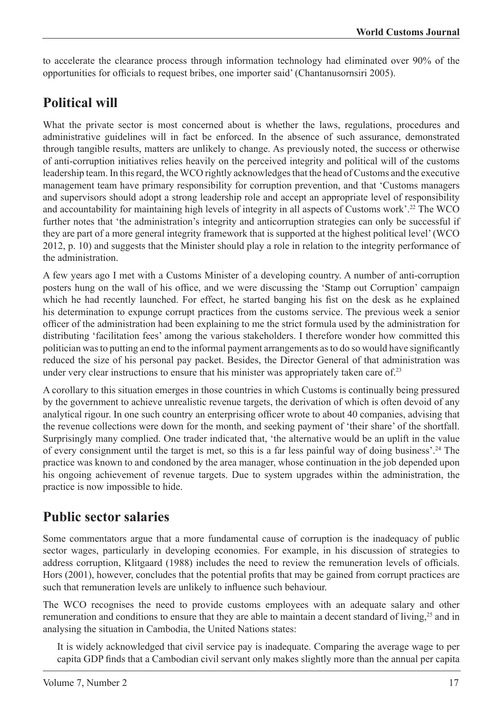to accelerate the clearance process through information technology had eliminated over 90% of the opportunities for officials to request bribes, one importer said' (Chantanusornsiri 2005).

# **Political will**

What the private sector is most concerned about is whether the laws, regulations, procedures and administrative guidelines will in fact be enforced. In the absence of such assurance, demonstrated through tangible results, matters are unlikely to change. As previously noted, the success or otherwise of anti-corruption initiatives relies heavily on the perceived integrity and political will of the customs leadership team. In this regard, the WCO rightly acknowledges that the head of Customs and the executive management team have primary responsibility for corruption prevention, and that 'Customs managers and supervisors should adopt a strong leadership role and accept an appropriate level of responsibility and accountability for maintaining high levels of integrity in all aspects of Customs work'.22 The WCO further notes that 'the administration's integrity and anticorruption strategies can only be successful if they are part of a more general integrity framework that is supported at the highest political level' (WCO 2012, p. 10) and suggests that the Minister should play a role in relation to the integrity performance of the administration.

A few years ago I met with a Customs Minister of a developing country. A number of anti-corruption posters hung on the wall of his office, and we were discussing the 'Stamp out Corruption' campaign which he had recently launched. For effect, he started banging his fist on the desk as he explained his determination to expunge corrupt practices from the customs service. The previous week a senior officer of the administration had been explaining to me the strict formula used by the administration for distributing 'facilitation fees' among the various stakeholders. I therefore wonder how committed this politician was to putting an end to the informal payment arrangements as to do so would have significantly reduced the size of his personal pay packet. Besides, the Director General of that administration was under very clear instructions to ensure that his minister was appropriately taken care of.<sup>23</sup>

A corollary to this situation emerges in those countries in which Customs is continually being pressured by the government to achieve unrealistic revenue targets, the derivation of which is often devoid of any analytical rigour. In one such country an enterprising officer wrote to about 40 companies, advising that the revenue collections were down for the month, and seeking payment of 'their share' of the shortfall. Surprisingly many complied. One trader indicated that, 'the alternative would be an uplift in the value of every consignment until the target is met, so this is a far less painful way of doing business'.24 The practice was known to and condoned by the area manager, whose continuation in the job depended upon his ongoing achievement of revenue targets. Due to system upgrades within the administration, the practice is now impossible to hide.

#### **Public sector salaries**

Some commentators argue that a more fundamental cause of corruption is the inadequacy of public sector wages, particularly in developing economies. For example, in his discussion of strategies to address corruption, Klitgaard (1988) includes the need to review the remuneration levels of officials. Hors (2001), however, concludes that the potential profits that may be gained from corrupt practices are such that remuneration levels are unlikely to influence such behaviour.

The WCO recognises the need to provide customs employees with an adequate salary and other remuneration and conditions to ensure that they are able to maintain a decent standard of living,<sup>25</sup> and in analysing the situation in Cambodia, the United Nations states:

It is widely acknowledged that civil service pay is inadequate. Comparing the average wage to per capita GDP finds that a Cambodian civil servant only makes slightly more than the annual per capita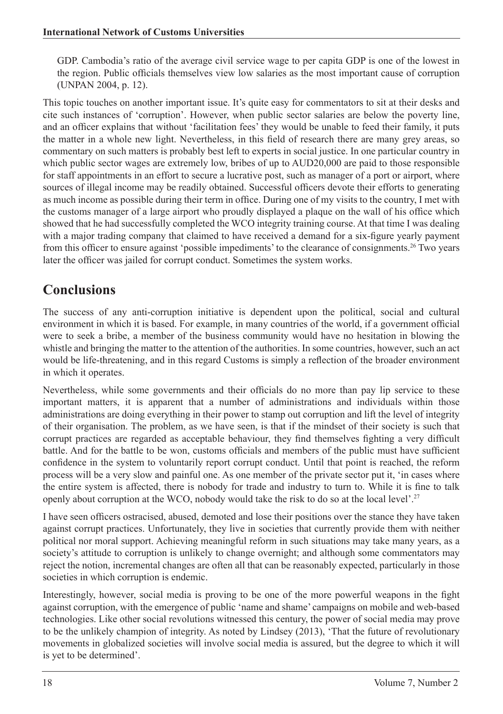GDP. Cambodia's ratio of the average civil service wage to per capita GDP is one of the lowest in the region. Public officials themselves view low salaries as the most important cause of corruption (UNPAN 2004, p. 12).

This topic touches on another important issue. It's quite easy for commentators to sit at their desks and cite such instances of 'corruption'. However, when public sector salaries are below the poverty line, and an officer explains that without 'facilitation fees' they would be unable to feed their family, it puts the matter in a whole new light. Nevertheless, in this field of research there are many grey areas, so commentary on such matters is probably best left to experts in social justice. In one particular country in which public sector wages are extremely low, bribes of up to AUD20,000 are paid to those responsible for staff appointments in an effort to secure a lucrative post, such as manager of a port or airport, where sources of illegal income may be readily obtained. Successful officers devote their efforts to generating as much income as possible during their term in office. During one of my visits to the country, I met with the customs manager of a large airport who proudly displayed a plaque on the wall of his office which showed that he had successfully completed the WCO integrity training course. At that time I was dealing with a major trading company that claimed to have received a demand for a six-figure yearly payment from this officer to ensure against 'possible impediments' to the clearance of consignments.26 Two years later the officer was jailed for corrupt conduct. Sometimes the system works.

# **Conclusions**

The success of any anti-corruption initiative is dependent upon the political, social and cultural environment in which it is based. For example, in many countries of the world, if a government official were to seek a bribe, a member of the business community would have no hesitation in blowing the whistle and bringing the matter to the attention of the authorities. In some countries, however, such an act would be life-threatening, and in this regard Customs is simply a reflection of the broader environment in which it operates.

Nevertheless, while some governments and their officials do no more than pay lip service to these important matters, it is apparent that a number of administrations and individuals within those administrations are doing everything in their power to stamp out corruption and lift the level of integrity of their organisation. The problem, as we have seen, is that if the mindset of their society is such that corrupt practices are regarded as acceptable behaviour, they find themselves fighting a very difficult battle. And for the battle to be won, customs officials and members of the public must have sufficient confidence in the system to voluntarily report corrupt conduct. Until that point is reached, the reform process will be a very slow and painful one. As one member of the private sector put it, 'in cases where the entire system is affected, there is nobody for trade and industry to turn to. While it is fine to talk openly about corruption at the WCO, nobody would take the risk to do so at the local level'.27

I have seen officers ostracised, abused, demoted and lose their positions over the stance they have taken against corrupt practices. Unfortunately, they live in societies that currently provide them with neither political nor moral support. Achieving meaningful reform in such situations may take many years, as a society's attitude to corruption is unlikely to change overnight; and although some commentators may reject the notion, incremental changes are often all that can be reasonably expected, particularly in those societies in which corruption is endemic.

Interestingly, however, social media is proving to be one of the more powerful weapons in the fight against corruption, with the emergence of public 'name and shame' campaigns on mobile and web-based technologies. Like other social revolutions witnessed this century, the power of social media may prove to be the unlikely champion of integrity. As noted by Lindsey (2013), 'That the future of revolutionary movements in globalized societies will involve social media is assured, but the degree to which it will is yet to be determined'.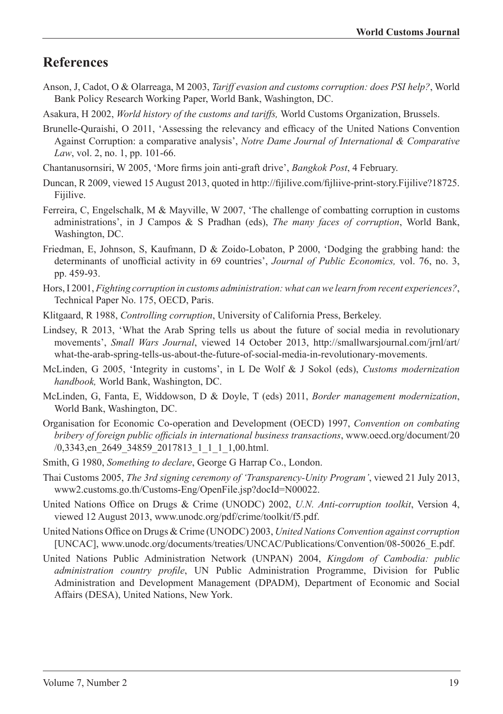#### **References**

- Anson, J, Cadot, O & Olarreaga, M 2003, *Tariff evasion and customs corruption: does PSI help?*, World Bank Policy Research Working Paper, World Bank, Washington, DC.
- Asakura, H 2002, *World history of the customs and tariffs,* World Customs Organization, Brussels.
- Brunelle-Quraishi, O 2011, 'Assessing the relevancy and efficacy of the United Nations Convention Against Corruption: a comparative analysis', *Notre Dame Journal of International & Comparative Law*, vol. 2, no. 1, pp. 101-66.
- Chantanusornsiri, W 2005, 'More firms join anti-graft drive', *Bangkok Post*, 4 February.
- Duncan, R 2009, viewed 15 August 2013, quoted in http://fijilive.com/fijliive-print-story.Fijilive?18725. Fijilive.
- Ferreira, C, Engelschalk, M & Mayville, W 2007, 'The challenge of combatting corruption in customs administrations', in J Campos & S Pradhan (eds), *The many faces of corruption*, World Bank, Washington, DC.
- Friedman, E, Johnson, S, Kaufmann, D & Zoido-Lobaton, P 2000, 'Dodging the grabbing hand: the determinants of unofficial activity in 69 countries', *Journal of Public Economics,* vol. 76, no. 3, pp. 459-93.
- Hors, I 2001, *Fighting corruption in customs administration: what can we learn from recent experiences?*, Technical Paper No. 175, OECD, Paris.
- Klitgaard, R 1988, *Controlling corruption*, University of California Press, Berkeley.
- Lindsey, R 2013, 'What the Arab Spring tells us about the future of social media in revolutionary movements', *Small Wars Journal*, viewed 14 October 2013, http://smallwarsjournal.com/jrnl/art/ what-the-arab-spring-tells-us-about-the-future-of-social-media-in-revolutionary-movements.
- McLinden, G 2005, 'Integrity in customs', in L De Wolf & J Sokol (eds), *Customs modernization handbook,* World Bank, Washington, DC.
- McLinden, G, Fanta, E, Widdowson, D & Doyle, T (eds) 2011, *Border management modernization*, World Bank, Washington, DC.
- Organisation for Economic Co-operation and Development (OECD) 1997, *Convention on combating bribery of foreign public officials in international business transactions*, www.oecd.org/document/20 /0,3343,en\_2649\_34859\_2017813\_1\_1\_1\_1,00.html.
- Smith, G 1980, *Something to declare*, George G Harrap Co., London.
- Thai Customs 2005, *The 3rd signing ceremony of 'Transparency-Unity Program'*, viewed 21 July 2013, www2.customs.go.th/Customs-Eng/OpenFile.jsp?docId=N00022.
- United Nations Office on Drugs & Crime (UNODC) 2002, *U.N. Anti-corruption toolkit*, Version 4, viewed 12 August 2013, www.unodc.org/pdf/crime/toolkit/f5.pdf.
- United Nations Office on Drugs & Crime (UNODC) 2003, *United Nations Convention against corruption* [UNCAC], www.unodc.org/documents/treaties/UNCAC/Publications/Convention/08-50026\_E.pdf.
- United Nations Public Administration Network (UNPAN) 2004, *Kingdom of Cambodia: public administration country profile*, UN Public Administration Programme, Division for Public Administration and Development Management (DPADM), Department of Economic and Social Affairs (DESA), United Nations, New York.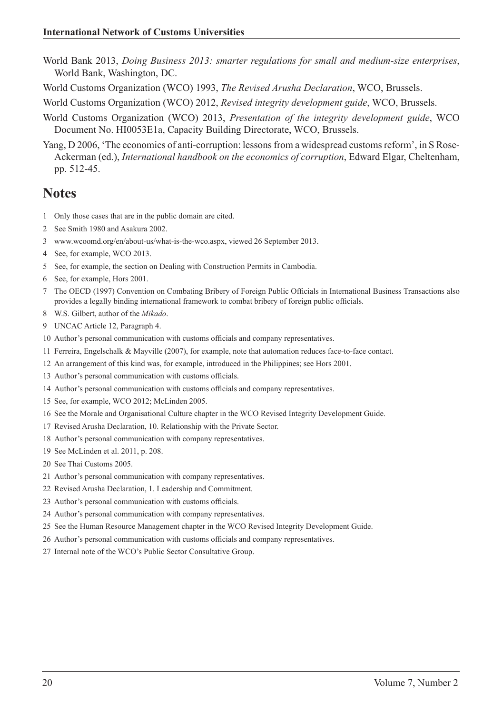- World Bank 2013, *Doing Business 2013: smarter regulations for small and medium-size enterprises*, World Bank, Washington, DC.
- World Customs Organization (WCO) 1993, *The Revised Arusha Declaration*, WCO, Brussels.
- World Customs Organization (WCO) 2012, *Revised integrity development guide*, WCO, Brussels.
- World Customs Organization (WCO) 2013, *Presentation of the integrity development guide*, WCO Document No. HI0053E1a, Capacity Building Directorate, WCO, Brussels.
- Yang, D 2006, 'The economics of anti-corruption: lessons from a widespread customs reform', in S Rose-Ackerman (ed.), *International handbook on the economics of corruption*, Edward Elgar, Cheltenham, pp. 512-45.

#### **Notes**

- Only those cases that are in the public domain are cited.
- See Smith 1980 and Asakura 2002.
- www.wcoomd.org/en/about-us/what-is-the-wco.aspx, viewed 26 September 2013.
- See, for example, WCO 2013.
- See, for example, the section on Dealing with Construction Permits in Cambodia.
- See, for example, Hors 2001.
- The OECD (1997) Convention on Combating Bribery of Foreign Public Officials in International Business Transactions also provides a legally binding international framework to combat bribery of foreign public officials.
- W.S. Gilbert, author of the *Mikado*.
- UNCAC Article 12, Paragraph 4.
- Author's personal communication with customs officials and company representatives.
- Ferreira, Engelschalk & Mayville (2007), for example, note that automation reduces face-to-face contact.
- An arrangement of this kind was, for example, introduced in the Philippines; see Hors 2001.
- Author's personal communication with customs officials.
- Author's personal communication with customs officials and company representatives.
- See, for example, WCO 2012; McLinden 2005.
- See the Morale and Organisational Culture chapter in the WCO Revised Integrity Development Guide.
- Revised Arusha Declaration, 10. Relationship with the Private Sector.
- Author's personal communication with company representatives.
- See McLinden et al. 2011, p. 208.
- See Thai Customs 2005.
- Author's personal communication with company representatives.
- Revised Arusha Declaration, 1. Leadership and Commitment.
- Author's personal communication with customs officials.
- Author's personal communication with company representatives.
- See the Human Resource Management chapter in the WCO Revised Integrity Development Guide.
- Author's personal communication with customs officials and company representatives.
- Internal note of the WCO's Public Sector Consultative Group.